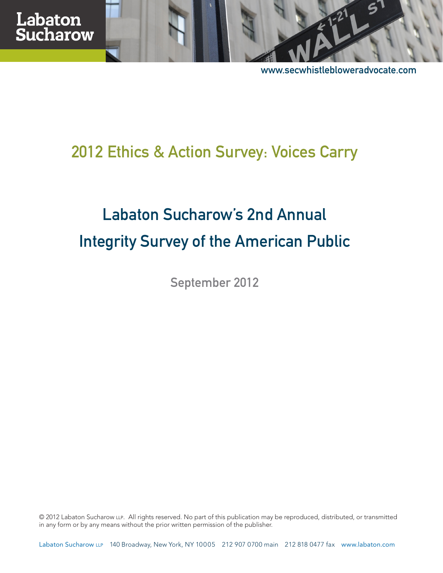

[www.secwhistlebloweradvocate.com](http://secwhistlebloweradvocate.com)

# 2012 Ethics & Action Survey: Voices Carry

# Labaton Sucharow's 2nd Annual Integrity Survey of the American Public

September 2012

© 2012 Labaton Sucharow LLP. All rights reserved. No part of this publication may be reproduced, distributed, or transmitted in any form or by any means without the prior written permission of the publisher.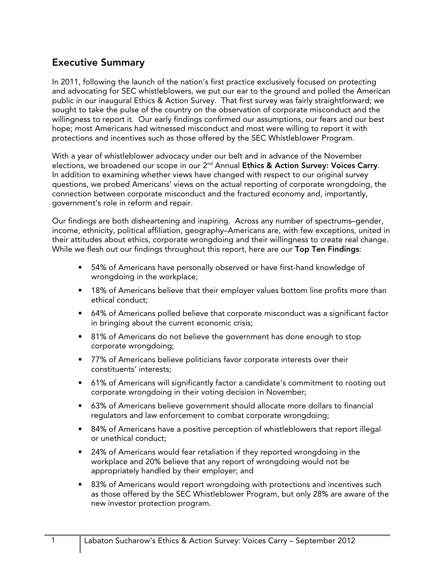#### **Executive Summary**

In 2011, following the launch of the nation's first practice exclusively focused on protecting and advocating for SEC whistleblowers, we put our ear to the ground and polled the American public in our inaugural Ethics & Action Survey. That first survey was fairly straightforward; we sought to take the pulse of the country on the observation of corporate misconduct and the willingness to report it. Our early findings confirmed our assumptions, our fears and our best hope; most Americans had witnessed misconduct and most were willing to report it with protections and incentives such as those offered by the SEC Whistleblower Program.

With a year of whistleblower advocacy under our belt and in advance of the November elections, we broadened our scope in our 2nd Annual **Ethics & Action Survey: Voices Carry**. In addition to examining whether views have changed with respect to our original survey questions, we probed Americans' views on the actual reporting of corporate wrongdoing, the connection between corporate misconduct and the fractured economy and, importantly, government's role in reform and repair.

Our findings are both disheartening and inspiring. Across any number of spectrums–gender, income, ethnicity, political affiliation, geography–Americans are, with few exceptions, united in their attitudes about ethics, corporate wrongdoing and their willingness to create real change. While we flesh out our findings throughout this report, here are our **Top Ten Findings**:

- 54% of Americans have personally observed or have first-hand knowledge of wrongdoing in the workplace;
- 18% of Americans believe that their employer values bottom line profits more than ethical conduct;
- 64% of Americans polled believe that corporate misconduct was a significant factor in bringing about the current economic crisis;
- 81% of Americans do not believe the government has done enough to stop corporate wrongdoing;
- 77% of Americans believe politicians favor corporate interests over their constituents' interests;
- 61% of Americans will significantly factor a candidate's commitment to rooting out corporate wrongdoing in their voting decision in November;
- 63% of Americans believe government should allocate more dollars to financial regulators and law enforcement to combat corporate wrongdoing;
- 84% of Americans have a positive perception of whistleblowers that report illegal or unethical conduct;
- 24% of Americans would fear retaliation if they reported wrongdoing in the workplace and 20% believe that any report of wrongdoing would not be appropriately handled by their employer; and
- 83% of Americans would report wrongdoing with protections and incentives such as those offered by the SEC Whistleblower Program, but only 28% are aware of the new investor protection program.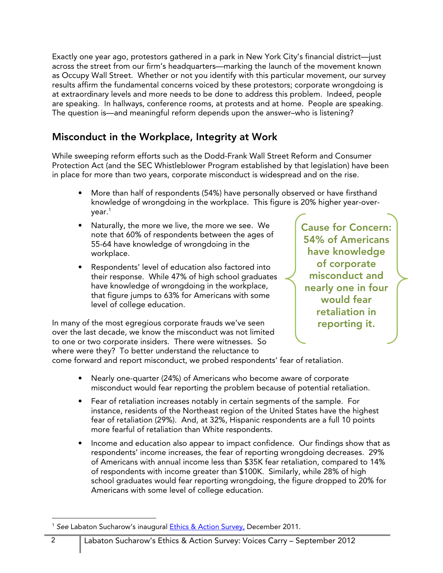Exactly one year ago, protestors gathered in a park in New York City's financial district—just across the street from our firm's headquarters—marking the launch of the movement known as Occupy Wall Street. Whether or not you identify with this particular movement, our survey results affirm the fundamental concerns voiced by these protestors; corporate wrongdoing is at extraordinary levels and more needs to be done to address this problem. Indeed, people are speaking. In hallways, conference rooms, at protests and at home. People are speaking. The question is—and meaningful reform depends upon the answer–who is listening?

### **Misconduct in the Workplace, Integrity at Work**

While sweeping reform efforts such as the Dodd-Frank Wall Street Reform and Consumer Protection Act (and the SEC Whistleblower Program established by that legislation) have been in place for more than two years, corporate misconduct is widespread and on the rise.

- More than half of respondents (54%) have personally observed or have firsthand knowledge of wrongdoing in the workplace. This figure is 20% higher year-overyear.<sup>1</sup>
- Naturally, the more we live, the more we see. We note that 60% of respondents between the ages of 55-64 have knowledge of wrongdoing in the workplace.
- Respondents' level of education also factored into their response. While 47% of high school graduates have knowledge of wrongdoing in the workplace, that figure jumps to 63% for Americans with some level of college education.

In many of the most egregious corporate frauds we've seen over the last decade, we know the misconduct was not limited to one or two corporate insiders. There were witnesses. So where were they? To better understand the reluctance to

**Cause for Concern: 54% of Americans have knowledge of corporate misconduct and nearly one in four would fear retaliation in reporting it.** 

come forward and report misconduct, we probed respondents' fear of retaliation.

- Nearly one-quarter (24%) of Americans who become aware of corporate misconduct would fear reporting the problem because of potential retaliation.
- Fear of retaliation increases notably in certain segments of the sample. For instance, residents of the Northeast region of the United States have the highest fear of retaliation (29%). And, at 32%, Hispanic respondents are a full 10 points more fearful of retaliation than White respondents.
- Income and education also appear to impact confidence. Our findings show that as respondents' income increases, the fear of reporting wrongdoing decreases. 29% of Americans with annual income less than \$35K fear retaliation, compared to 14% of respondents with income greater than \$100K. Similarly, while 28% of high school graduates would fear reporting wrongdoing, the figure dropped to 20% for Americans with some level of college education.

<sup>-</sup><sup>1</sup> See Labaton Sucharow's inaugural [Ethics & Action Survey,](http://www.labaton.com/en/about/press/upload/Ethics-and-Action-Survey.pdf) December 2011.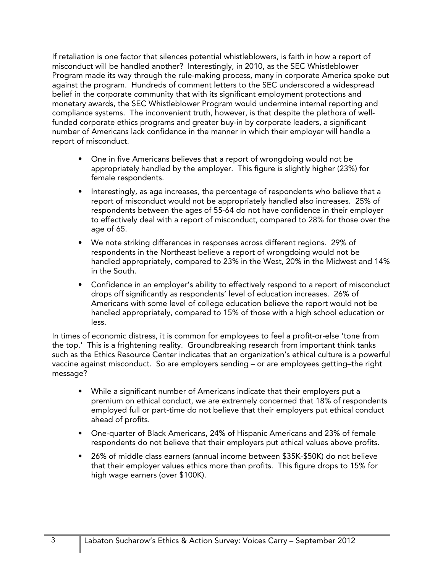If retaliation is one factor that silences potential whistleblowers, is faith in how a report of misconduct will be handled another? Interestingly, in 2010, as the SEC Whistleblower Program made its way through the rule-making process, many in corporate America spoke out against the program. Hundreds of comment letters to the SEC underscored a widespread belief in the corporate community that with its significant employment protections and monetary awards, the SEC Whistleblower Program would undermine internal reporting and compliance systems. The inconvenient truth, however, is that despite the plethora of wellfunded corporate ethics programs and greater buy-in by corporate leaders, a significant number of Americans lack confidence in the manner in which their employer will handle a report of misconduct.

- One in five Americans believes that a report of wrongdoing would not be appropriately handled by the employer. This figure is slightly higher (23%) for female respondents.
- Interestingly, as age increases, the percentage of respondents who believe that a report of misconduct would not be appropriately handled also increases. 25% of respondents between the ages of 55-64 do not have confidence in their employer to effectively deal with a report of misconduct, compared to 28% for those over the age of 65.
- We note striking differences in responses across different regions. 29% of respondents in the Northeast believe a report of wrongdoing would not be handled appropriately, compared to 23% in the West, 20% in the Midwest and 14% in the South.
- Confidence in an employer's ability to effectively respond to a report of misconduct drops off significantly as respondents' level of education increases. 26% of Americans with some level of college education believe the report would not be handled appropriately, compared to 15% of those with a high school education or less.

In times of economic distress, it is common for employees to feel a profit-or-else 'tone from the top.' This is a frightening reality. Groundbreaking research from important think tanks such as the Ethics Resource Center indicates that an organization's ethical culture is a powerful vaccine against misconduct. So are employers sending – or are employees getting–the right message?

- While a significant number of Americans indicate that their employers put a premium on ethical conduct, we are extremely concerned that 18% of respondents employed full or part-time do not believe that their employers put ethical conduct ahead of profits.
- One-quarter of Black Americans, 24% of Hispanic Americans and 23% of female respondents do not believe that their employers put ethical values above profits.
- 26% of middle class earners (annual income between \$35K-\$50K) do not believe that their employer values ethics more than profits. This figure drops to 15% for high wage earners (over \$100K).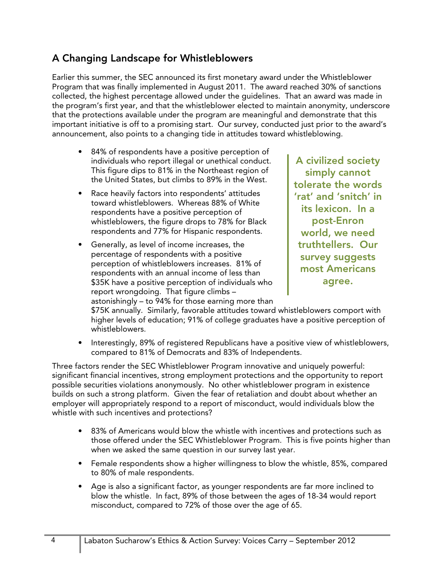### **A Changing Landscape for Whistleblowers**

Earlier this summer, the SEC announced its first monetary award under the Whistleblower Program that was finally implemented in August 2011. The award reached 30% of sanctions collected, the highest percentage allowed under the guidelines. That an award was made in the program's first year, and that the whistleblower elected to maintain anonymity, underscore that the protections available under the program are meaningful and demonstrate that this important initiative is off to a promising start. Our survey, conducted just prior to the award's announcement, also points to a changing tide in attitudes toward whistleblowing.

- 84% of respondents have a positive perception of individuals who report illegal or unethical conduct. This figure dips to 81% in the Northeast region of the United States, but climbs to 89% in the West.
- Race heavily factors into respondents' attitudes toward whistleblowers. Whereas 88% of White respondents have a positive perception of whistleblowers, the figure drops to 78% for Black respondents and 77% for Hispanic respondents.
- Generally, as level of income increases, the percentage of respondents with a positive perception of whistleblowers increases. 81% of respondents with an annual income of less than \$35K have a positive perception of individuals who report wrongdoing. That figure climbs – astonishingly – to 94% for those earning more than

**A civilized society simply cannot tolerate the words 'rat' and 'snitch' in its lexicon. In a post-Enron world, we need truthtellers. Our survey suggests most Americans agree.** 

\$75K annually. Similarly, favorable attitudes toward whistleblowers comport with higher levels of education; 91% of college graduates have a positive perception of whistleblowers.

• Interestingly, 89% of registered Republicans have a positive view of whistleblowers, compared to 81% of Democrats and 83% of Independents.

Three factors render the SEC Whistleblower Program innovative and uniquely powerful: significant financial incentives, strong employment protections and the opportunity to report possible securities violations anonymously. No other whistleblower program in existence builds on such a strong platform. Given the fear of retaliation and doubt about whether an employer will appropriately respond to a report of misconduct, would individuals blow the whistle with such incentives and protections?

- 83% of Americans would blow the whistle with incentives and protections such as those offered under the SEC Whistleblower Program. This is five points higher than when we asked the same question in our survey last year.
- Female respondents show a higher willingness to blow the whistle, 85%, compared to 80% of male respondents.
- Age is also a significant factor, as younger respondents are far more inclined to blow the whistle. In fact, 89% of those between the ages of 18-34 would report misconduct, compared to 72% of those over the age of 65.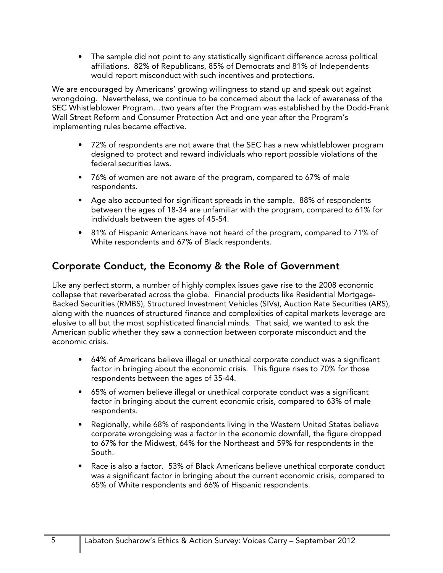• The sample did not point to any statistically significant difference across political affiliations. 82% of Republicans, 85% of Democrats and 81% of Independents would report misconduct with such incentives and protections.

We are encouraged by Americans' growing willingness to stand up and speak out against wrongdoing. Nevertheless, we continue to be concerned about the lack of awareness of the SEC Whistleblower Program…two years after the Program was established by the Dodd-Frank Wall Street Reform and Consumer Protection Act and one year after the Program's implementing rules became effective.

- 72% of respondents are not aware that the SEC has a new whistleblower program designed to protect and reward individuals who report possible violations of the federal securities laws.
- 76% of women are not aware of the program, compared to 67% of male respondents.
- Age also accounted for significant spreads in the sample. 88% of respondents between the ages of 18-34 are unfamiliar with the program, compared to 61% for individuals between the ages of 45-54.
- 81% of Hispanic Americans have not heard of the program, compared to 71% of White respondents and 67% of Black respondents.

## **Corporate Conduct, the Economy & the Role of Government**

Like any perfect storm, a number of highly complex issues gave rise to the 2008 economic collapse that reverberated across the globe. Financial products like Residential Mortgage-Backed Securities (RMBS), Structured Investment Vehicles (SIVs), Auction Rate Securities (ARS), along with the nuances of structured finance and complexities of capital markets leverage are elusive to all but the most sophisticated financial minds. That said, we wanted to ask the American public whether they saw a connection between corporate misconduct and the economic crisis.

- 64% of Americans believe illegal or unethical corporate conduct was a significant factor in bringing about the economic crisis. This figure rises to 70% for those respondents between the ages of 35-44.
- 65% of women believe illegal or unethical corporate conduct was a significant factor in bringing about the current economic crisis, compared to 63% of male respondents.
- Regionally, while 68% of respondents living in the Western United States believe corporate wrongdoing was a factor in the economic downfall, the figure dropped to 67% for the Midwest, 64% for the Northeast and 59% for respondents in the South.
- Race is also a factor. 53% of Black Americans believe unethical corporate conduct was a significant factor in bringing about the current economic crisis, compared to 65% of White respondents and 66% of Hispanic respondents.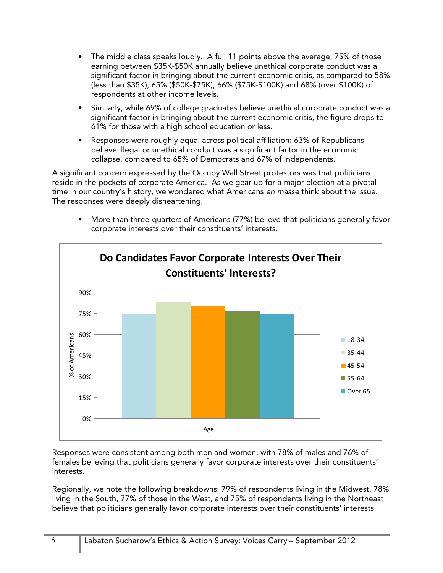- The middle class speaks loudly. A full 11 points above the average, 75% of those earning between \$35K-\$50K annually believe unethical corporate conduct was a significant factor in bringing about the current economic crisis, as compared to 58% (less than \$35K), 65% (\$50K-\$75K), 66% (\$75K-\$100K) and 68% (over \$100K) of respondents at other income levels.
- Similarly, while 69% of college graduates believe unethical corporate conduct was a significant factor in bringing about the current economic crisis, the figure drops to 61% for those with a high school education or less.
- Responses were roughly equal across political affiliation: 63% of Republicans believe illegal or unethical conduct was a significant factor in the economic collapse, compared to 65% of Democrats and 67% of Independents.

A significant concern expressed by the Occupy Wall Street protestors was that politicians reside in the pockets of corporate America. As we gear up for a major election at a pivotal time in our country's history, we wondered what Americans en masse think about the issue. The responses were deeply disheartening.

• More than three-quarters of Americans (77%) believe that politicians generally favor corporate interests over their constituents' interests.



Responses were consistent among both men and women, with 78% of males and 76% of females believing that politicians generally favor corporate interests over their constituents' interests.

Regionally, we note the following breakdowns: 79% of respondents living in the Midwest, 78% living in the South, 77% of those in the West, and 75% of respondents living in the Northeast believe that politicians generally favor corporate interests over their constituents' interests.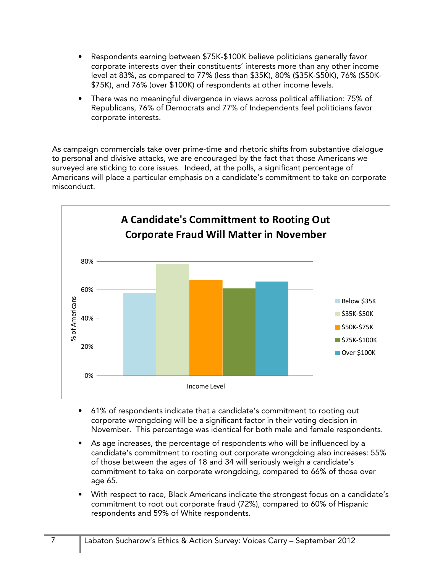- Respondents earning between \$75K-\$100K believe politicians generally favor corporate interests over their constituents' interests more than any other income level at 83%, as compared to 77% (less than \$35K), 80% (\$35K-\$50K), 76% (\$50K- \$75K), and 76% (over \$100K) of respondents at other income levels.
- There was no meaningful divergence in views across political affiliation: 75% of Republicans, 76% of Democrats and 77% of Independents feel politicians favor corporate interests.

As campaign commercials take over prime-time and rhetoric shifts from substantive dialogue to personal and divisive attacks, we are encouraged by the fact that those Americans we surveyed are sticking to core issues. Indeed, at the polls, a significant percentage of Americans will place a particular emphasis on a candidate's commitment to take on corporate misconduct.



- 61% of respondents indicate that a candidate's commitment to rooting out corporate wrongdoing will be a significant factor in their voting decision in November. This percentage was identical for both male and female respondents.
- As age increases, the percentage of respondents who will be influenced by a candidate's commitment to rooting out corporate wrongdoing also increases: 55% of those between the ages of 18 and 34 will seriously weigh a candidate's commitment to take on corporate wrongdoing, compared to 66% of those over age 65.
- With respect to race, Black Americans indicate the strongest focus on a candidate's commitment to root out corporate fraud (72%), compared to 60% of Hispanic respondents and 59% of White respondents.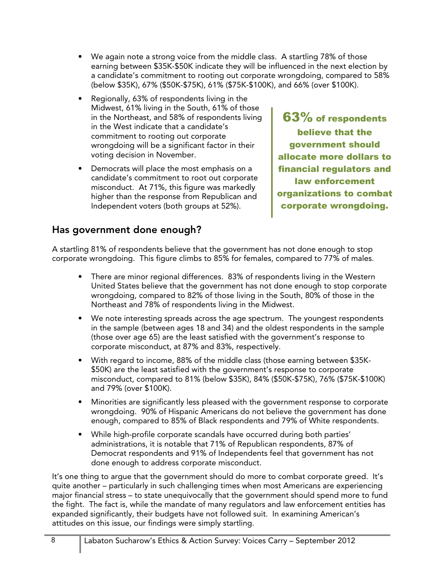- We again note a strong voice from the middle class. A startling 78% of those earning between \$35K-\$50K indicate they will be influenced in the next election by a candidate's commitment to rooting out corporate wrongdoing, compared to 58% (below \$35K), 67% (\$50K-\$75K), 61% (\$75K-\$100K), and 66% (over \$100K).
- Regionally, 63% of respondents living in the Midwest, 61% living in the South, 61% of those in the Northeast, and 58% of respondents living in the West indicate that a candidate's commitment to rooting out corporate wrongdoing will be a significant factor in their voting decision in November.
- Democrats will place the most emphasis on a candidate's commitment to root out corporate misconduct. At 71%, this figure was markedly higher than the response from Republican and Independent voters (both groups at 52%).

63% of respondents believe that the government should allocate more dollars to financial regulators and law enforcement organizations to combat corporate wrongdoing.

#### **Has government done enough?**

A startling 81% of respondents believe that the government has not done enough to stop corporate wrongdoing. This figure climbs to 85% for females, compared to 77% of males.

- There are minor regional differences. 83% of respondents living in the Western United States believe that the government has not done enough to stop corporate wrongdoing, compared to 82% of those living in the South, 80% of those in the Northeast and 78% of respondents living in the Midwest.
- We note interesting spreads across the age spectrum. The youngest respondents in the sample (between ages 18 and 34) and the oldest respondents in the sample (those over age 65) are the least satisfied with the government's response to corporate misconduct, at 87% and 83%, respectively.
- With regard to income, 88% of the middle class (those earning between \$35K- \$50K) are the least satisfied with the government's response to corporate misconduct, compared to 81% (below \$35K), 84% (\$50K-\$75K), 76% (\$75K-\$100K) and 79% (over \$100K).
- Minorities are significantly less pleased with the government response to corporate wrongdoing. 90% of Hispanic Americans do not believe the government has done enough, compared to 85% of Black respondents and 79% of White respondents.
- While high-profile corporate scandals have occurred during both parties' administrations, it is notable that 71% of Republican respondents, 87% of Democrat respondents and 91% of Independents feel that government has not done enough to address corporate misconduct.

It's one thing to argue that the government should do more to combat corporate greed. It's quite another – particularly in such challenging times when most Americans are experiencing major financial stress – to state unequivocally that the government should spend more to fund the fight. The fact is, while the mandate of many regulators and law enforcement entities has expanded significantly, their budgets have not followed suit. In examining American's attitudes on this issue, our findings were simply startling.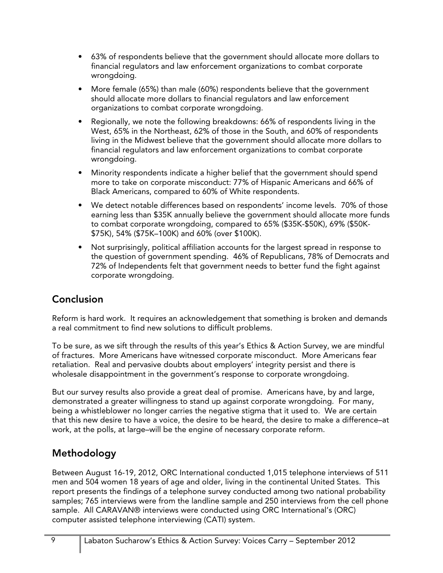- 63% of respondents believe that the government should allocate more dollars to financial regulators and law enforcement organizations to combat corporate wrongdoing.
- More female (65%) than male (60%) respondents believe that the government should allocate more dollars to financial regulators and law enforcement organizations to combat corporate wrongdoing.
- Regionally, we note the following breakdowns: 66% of respondents living in the West, 65% in the Northeast, 62% of those in the South, and 60% of respondents living in the Midwest believe that the government should allocate more dollars to financial regulators and law enforcement organizations to combat corporate wrongdoing.
- Minority respondents indicate a higher belief that the government should spend more to take on corporate misconduct: 77% of Hispanic Americans and 66% of Black Americans, compared to 60% of White respondents.
- We detect notable differences based on respondents' income levels. 70% of those earning less than \$35K annually believe the government should allocate more funds to combat corporate wrongdoing, compared to 65% (\$35K-\$50K), 69% (\$50K- \$75K), 54% (\$75K–100K) and 60% (over \$100K).
- Not surprisingly, political affiliation accounts for the largest spread in response to the question of government spending. 46% of Republicans, 78% of Democrats and 72% of Independents felt that government needs to better fund the fight against corporate wrongdoing.

### **Conclusion**

Reform is hard work. It requires an acknowledgement that something is broken and demands a real commitment to find new solutions to difficult problems.

To be sure, as we sift through the results of this year's Ethics & Action Survey, we are mindful of fractures. More Americans have witnessed corporate misconduct. More Americans fear retaliation. Real and pervasive doubts about employers' integrity persist and there is wholesale disappointment in the government's response to corporate wrongdoing.

But our survey results also provide a great deal of promise. Americans have, by and large, demonstrated a greater willingness to stand up against corporate wrongdoing. For many, being a whistleblower no longer carries the negative stigma that it used to. We are certain that this new desire to have a voice, the desire to be heard, the desire to make a difference–at work, at the polls, at large–will be the engine of necessary corporate reform.

# **Methodology**

Between August 16-19, 2012, ORC International conducted 1,015 telephone interviews of 511 men and 504 women 18 years of age and older, living in the continental United States. This report presents the findings of a telephone survey conducted among two national probability samples; 765 interviews were from the landline sample and 250 interviews from the cell phone sample. All CARAVAN® interviews were conducted using ORC International's (ORC) computer assisted telephone interviewing (CATI) system.